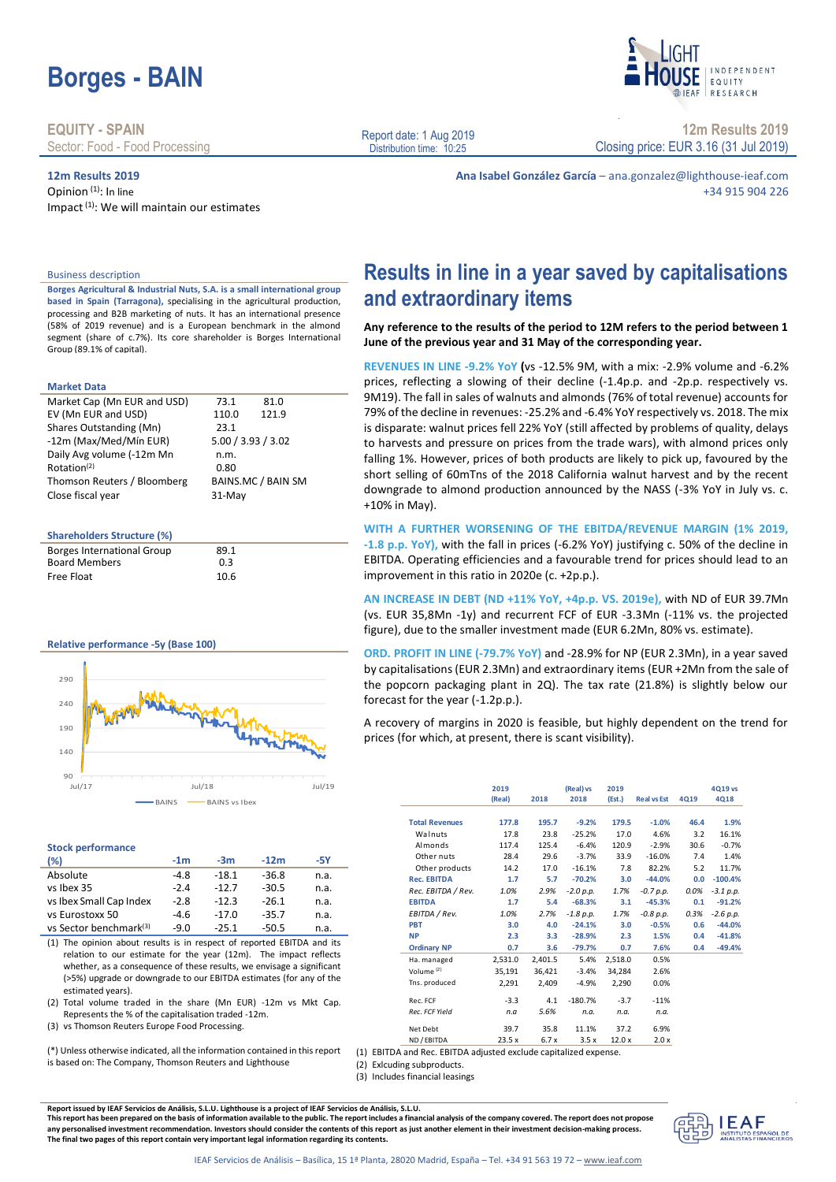# **Borges - BAIN**

**EQUITY - SPAIN** Sector: Food - Food Processing

### **12m Results 2019**

Opinion (1): In line Impact<sup>(1)</sup>: We will maintain our estimates Report date: 1 Aug 2019 Distribution time: 10:25

+10% in May).

**and extraordinary items**

improvement in this ratio in 2020e (c. +2p.p.).

prices (for which, at present, there is scant visibility).

**2019 (Real) 2018**

forecast for the year (-1.2p.p.).

INDEPENDENT FOULTY RESEARCH

**12m Results 2019** Closing price: EUR 3.16 (31 Jul 2019)

**Ana Isabel González García** – ana.gonzalez@lighthouse-ieaf.com +34 915 904 226

**Results in line in a year saved by capitalisations** 

**Any reference to the results of the period to 12M refers to the period between 1** 

**REVENUES IN LINE -9.2% YoY (**vs -12.5% 9M, with a mix: -2.9% volume and -6.2% prices, reflecting a slowing of their decline (-1.4p.p. and -2p.p. respectively vs. 9M19). The fall in sales of walnuts and almonds (76% of total revenue) accounts for 79% of the decline in revenues: -25.2% and -6.4% YoY respectively vs. 2018. The mix is disparate: walnut prices fell 22% YoY (still affected by problems of quality, delays to harvests and pressure on prices from the trade wars), with almond prices only falling 1%. However, prices of both products are likely to pick up, favoured by the short selling of 60mTns of the 2018 California walnut harvest and by the recent downgrade to almond production announced by the NASS (-3% YoY in July vs. c.

**WITH A FURTHER WORSENING OF THE EBITDA/REVENUE MARGIN (1% 2019, -1.8 p.p. YoY),** with the fall in prices (-6.2% YoY) justifying c. 50% of the decline in EBITDA. Operating efficiencies and a favourable trend for prices should lead to an

**AN INCREASE IN DEBT (ND +11% YoY, +4p.p. VS. 2019e),** with ND of EUR 39.7Mn (vs. EUR 35,8Mn -1y) and recurrent FCF of EUR -3.3Mn (-11% vs. the projected figure), due to the smaller investment made (EUR 6.2Mn, 80% vs. estimate).

**ORD. PROFIT IN LINE (-79.7% YoY)** and -28.9% for NP (EUR 2.3Mn), in a year saved by capitalisations (EUR 2.3Mn) and extraordinary items (EUR +2Mn from the sale of the popcorn packaging plant in 2Q). The tax rate (21.8%) is slightly below our

A recovery of margins in 2020 is feasible, but highly dependent on the trend for

**(Real) vs 2018**

**Total Revenues 177.8 195.7 -9.2% 179.5 -1.0% 46.4 1.9%** Walnuts 17.8 23.8 -25.2% 17.0 4.6% 3.2 16.1% Almonds 117.4 125.4 -6.4% 120.9 -2.9% 30.6 -0.7% Other nuts 28.4 29.6 -3.7% 33.9 -16.0% 7.4 1.4% Other products 14.2 17.0 -16.1% 7.8 82.2% 5.2 11.7%<br>ec. EBITDA 1.7 5.7 -70.2% 3.0 -44.0% 0.0 -100.4% **Rec. EBITDA 1.7 5.7 -70.2% 3.0 -44.0% 0.0 -100.4%** *Rec. EBITDA / Rev. 1.0% 2.9% -2.0 p.p. 1.7% -0.7 p.p. 0.0% -3.1 p.p.* **EBITDA 1.7 5.4 -68.3% 3.1 -45.3% 0.1 -91.2%** *EBITDA / Rev. 1.0% 2.7% -1.8 p.p. 1.7% -0.8 p.p. 0.3% -2.6 p.p.* **PBT 3.0 4.0 -24.1% 3.0 -0.5% 0.6 -44.0% NP 2.3 3.3 -28.9% 2.3 1.5% 0.4 -41.8% Ordinary NP 0.7 3.6 -79.7% 0.7 7.6% 0.4 -49.4%**

Ha. managed 2,531.0 2,401.5 5.4% 2,518.0 0.5% Volume<sup>(2)</sup> 35,191 36,421 -3.4% 34,284 2.6% Tns. produced 2,291 2,409 -4.9% 2,290 0.0% Rec. FCF -3.3 4.1 -180.7% -3.7 -11% *Rec. FCF Yield n.a 5.6% n.a. n.a. n.a.*

**2019** 

**(Est.) Real vs Est 4Q19**

**4Q19 vs 4Q18**

**June of the previous year and 31 May of the corresponding year.**

### Business description

**Borges Agricultural & Industrial Nuts, S.A. is a small international group based in Spain (Tarragona),** specialising in the agricultural production, processing and B2B marketing of nuts. It has an international presence (58% of 2019 revenue) and is a European benchmark in the almond segment (share of c.7%). Its core shareholder is Borges International Group (89.1% of capital).

### **Market Data**

| Market Cap (Mn EUR and USD) | 73.1               | 81.0               |  |
|-----------------------------|--------------------|--------------------|--|
| EV (Mn EUR and USD)         | 110.0              | 121.9              |  |
| Shares Outstanding (Mn)     | 23.1               |                    |  |
| -12m (Max/Med/Mín EUR)      | 5.00 / 3.93 / 3.02 |                    |  |
| Daily Avg volume (-12m Mn   | n.m.               |                    |  |
| Rotation <sup>(2)</sup>     | 0.80               |                    |  |
| Thomson Reuters / Bloomberg |                    | BAINS.MC / BAIN SM |  |
| Close fiscal year           | 31-May             |                    |  |

### **Shareholders Structure (%)**

| 10.6 |
|------|
|      |

### **Relative performance -5y (Base 100)**



#### **Stock performance**

| (%)                                | $-1m$  | $-3m$   | $-12m$  | -5Y  |
|------------------------------------|--------|---------|---------|------|
| Absolute                           | -4.8   | $-18.1$ | $-36.8$ | n.a. |
| vs Ibex 35                         | $-2.4$ | $-12.7$ | $-30.5$ | n.a. |
| vs Ibex Small Cap Index            | $-2.8$ | $-12.3$ | $-26.1$ | n.a. |
| vs Eurostoxx 50                    | $-4.6$ | $-17.0$ | $-35.7$ | n.a. |
| vs Sector benchmark <sup>(3)</sup> | $-9.0$ | $-25.1$ | $-50.5$ | n.a. |

(1) The opinion about results is in respect of reported EBITDA and its relation to our estimate for the year (12m). The impact reflects whether, as a consequence of these results, we envisage a significant (>5%) upgrade or downgrade to our EBITDA estimates (for any of the estimated years).

(2) Total volume traded in the share (Mn EUR) -12m vs Mkt Cap. Represents the % of the capitalisation traded -12m.

(3) vs Thomson Reuters Europe Food Processing.

(\*) Unless otherwise indicated, all the information contained in this report is based on: The Company, Thomson Reuters and Lighthouse

(2) Exlcuding subproducts.

(3) Includes financial leasings

IEAF Servicios de Análisis – Basílica, 15 1ª Planta, 28020 Madrid, España – Tel. +34 91 563 19 72 – [www.ieaf.com](file:///C:/Users/David%20López/Desktop/www.ieaf.com)

Report issued by IEAF Servicios de Análisis, S.L.U. Lighthouse is a project of IEAF Servicios de Análisis, S.L.U.<br>This report has been prepared on the basis of information available to the public. The report includes a fin This report has been prepared on the basis of information available to the public. The report includes **any personalised investment recommendation. Investors should consider the contents of this report as just another element in their investment decision-making process. The final two pages of this report contain very important legal information regarding its contents.**

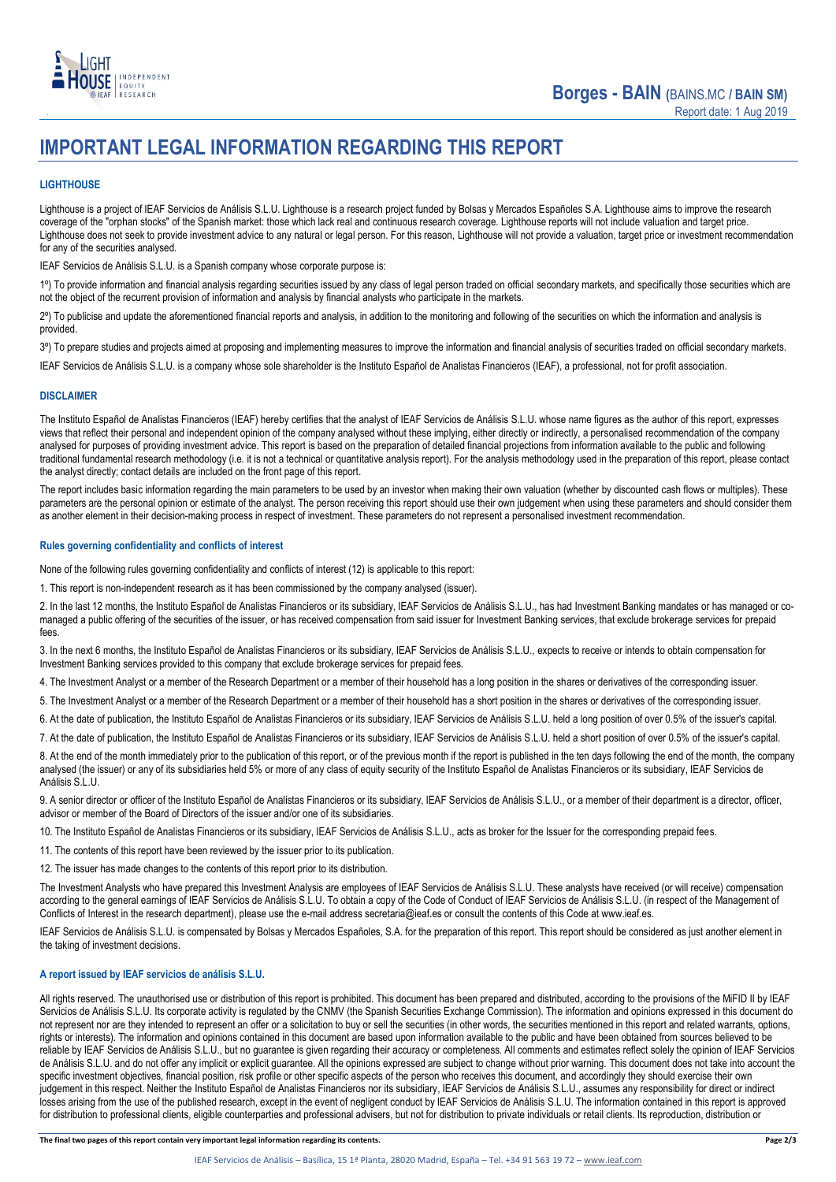

## **IMPORTANT LEGAL INFORMATION REGARDING THIS REPORT**

### **LIGHTHOUSE**

Lighthouse is a project of IEAF Servicios de Análisis S.L.U. Lighthouse is a research project funded by Bolsas y Mercados Españoles S.A. Lighthouse aims to improve the research coverage of the "orphan stocks" of the Spanish market: those which lack real and continuous research coverage. Lighthouse reports will not include valuation and target price. Lighthouse does not seek to provide investment advice to any natural or legal person. For this reason, Lighthouse will not provide a valuation, target price or investment recommendation for any of the securities analysed.

IEAF Servicios de Análisis S.L.U. is a Spanish company whose corporate purpose is:

1<sup>o</sup>) To provide information and financial analysis regarding securities issued by any class of legal person traded on official secondary markets, and specifically those securities which are not the object of the recurrent provision of information and analysis by financial analysts who participate in the markets.

2º) To publicise and update the aforementioned financial reports and analysis, in addition to the monitoring and following of the securities on which the information and analysis is provided.

3<sup>o</sup>) To prepare studies and projects aimed at proposing and implementing measures to improve the information and financial analysis of securities traded on official secondary markets.

IEAF Servicios de Análisis S.L.U. is a company whose sole shareholder is the Instituto Español de Analistas Financieros (IEAF), a professional, not for profit association.

### **DISCLAIMER**

The Instituto Español de Analistas Financieros (IEAF) hereby certifies that the analyst of IEAF Servicios de Análisis S.L.U. whose name figures as the author of this report, expresses views that reflect their personal and independent opinion of the company analysed without these implying, either directly or indirectly, a personalised recommendation of the company analysed for purposes of providing investment advice. This report is based on the preparation of detailed financial projections from information available to the public and following traditional fundamental research methodology (i.e. it is not a technical or quantitative analysis report). For the analysis methodology used in the preparation of this report, please contact the analyst directly; contact details are included on the front page of this report.

The report includes basic information regarding the main parameters to be used by an investor when making their own valuation (whether by discounted cash flows or multiples). These parameters are the personal opinion or estimate of the analyst. The person receiving this report should use their own judgement when using these parameters and should consider them as another element in their decision-making process in respect of investment. These parameters do not represent a personalised investment recommendation.

### **Rules governing confidentiality and conflicts of interest**

None of the following rules governing confidentiality and conflicts of interest (12) is applicable to this report:

1. This report is non-independent research as it has been commissioned by the company analysed (issuer).

2. In the last 12 months, the Instituto Español de Analistas Financieros or its subsidiary, IEAF Servicios de Análisis S.L.U., has had Investment Banking mandates or has managed or comanaged a public offering of the securities of the issuer, or has received compensation from said issuer for Investment Banking services, that exclude brokerage services for prepaid fees.

3. In the next 6 months, the Instituto Español de Analistas Financieros or its subsidiary, IEAF Servicios de Análisis S.L.U., expects to receive or intends to obtain compensation for Investment Banking services provided to this company that exclude brokerage services for prepaid fees.

4. The Investment Analyst or a member of the Research Department or a member of their household has a long position in the shares or derivatives of the corresponding issuer.

5. The Investment Analyst or a member of the Research Department or a member of their household has a short position in the shares or derivatives of the corresponding issuer.

6. At the date of publication, the Instituto Español de Analistas Financieros or its subsidiary, IEAF Servicios de Análisis S.L.U. held a long position of over 0.5% of the issuer's capital.

7. At the date of publication, the Instituto Español de Analistas Financieros or its subsidiary, IEAF Servicios de Análisis S.L.U. held a short position of over 0.5% of the issuer's capital.

8. At the end of the month immediately prior to the publication of this report, or of the previous month if the report is published in the ten days following the end of the month, the company analysed (the issuer) or any of its subsidiaries held 5% or more of any class of equity security of the Instituto Español de Analistas Financieros or its subsidiary, IEAF Servicios de Análisis S.L.U.

9. A senior director or officer of the Instituto Español de Analistas Financieros or its subsidiary, IEAF Servicios de Análisis S.L.U., or a member of their department is a director, officer, advisor or member of the Board of Directors of the issuer and/or one of its subsidiaries.

10. The Instituto Español de Analistas Financieros or its subsidiary, IEAF Servicios de Análisis S.L.U., acts as broker for the Issuer for the corresponding prepaid fees.

11. The contents of this report have been reviewed by the issuer prior to its publication.

12. The issuer has made changes to the contents of this report prior to its distribution.

The Investment Analysts who have prepared this Investment Analysis are employees of IEAF Servicios de Análisis S.L.U. These analysts have received (or will receive) compensation according to the general earnings of IEAF Servicios de Análisis S.L.U. To obtain a copy of the Code of Conduct of IEAF Servicios de Análisis S.L.U. (in respect of the Management of Conflicts of Interest in the research department), please use the e-mail address secretaria@ieaf.es or consult the contents of this Code at [www.ieaf.es.](https://www.ieaf.es/images/IEAF/LIGHTHOUSE/IEAF_LIGHTHOUSE_CodigoDeConducta.pdf) 

IEAF Servicios de Análisis S.L.U. is compensated by Bolsas y Mercados Españoles, S.A. for the preparation of this report. This report should be considered as just another element in the taking of investment decisions.

### **A report issued by IEAF servicios de análisis S.L.U.**

All rights reserved. The unauthorised use or distribution of this report is prohibited. This document has been prepared and distributed, according to the provisions of the MiFID II by IEAF Servicios de Análisis S.L.U. Its corporate activity is regulated by the CNMV (the Spanish Securities Exchange Commission). The information and opinions expressed in this document do not represent nor are they intended to represent an offer or a solicitation to buy or sell the securities (in other words, the securities mentioned in this report and related warrants, options, rights or interests). The information and opinions contained in this document are based upon information available to the public and have been obtained from sources believed to be reliable by IEAF Servicios de Análisis S.L.U., but no guarantee is given regarding their accuracy or completeness. All comments and estimates reflect solely the opinion of IEAF Servicios de Análisis S.L.U. and do not offer any implicit or explicit guarantee. All the opinions expressed are subject to change without prior warning. This document does not take into account the specific investment objectives, financial position, risk profile or other specific aspects of the person who receives this document, and accordingly they should exercise their own judgement in this respect. Neither the Instituto Español de Analistas Financieros nor its subsidiary, IEAF Servicios de Análisis S.L.U., assumes any responsibility for direct or indirect losses arising from the use of the published research, except in the event of negligent conduct by IEAF Servicios de Análisis S.L.U. The information contained in this report is approved for distribution to professional clients, eligible counterparties and professional advisers, but not for distribution to private individuals or retail clients. Its reproduction, distribution or